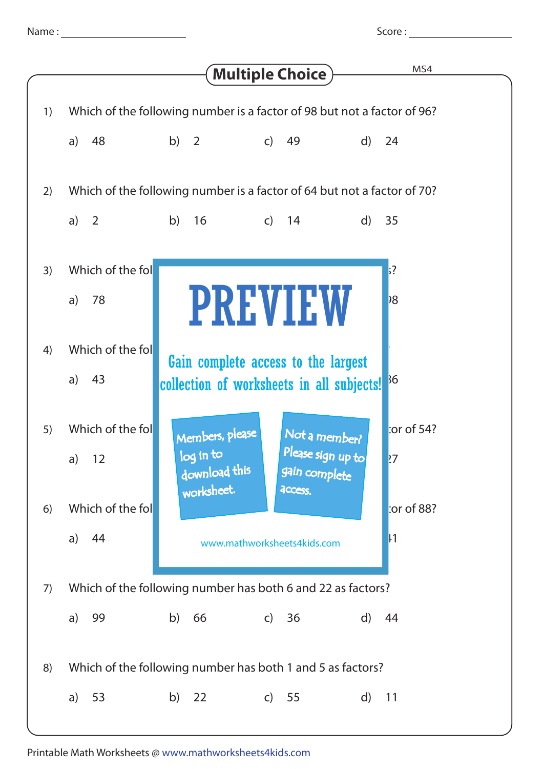